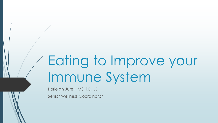# Eating to Improve your Immune System

Karleigh Jurek, MS, RD, LD Senior Wellness Coordinator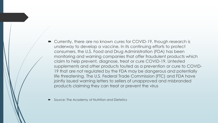- Currently, there are no known cures for COVID-19, though research is underway to develop a vaccine. In its continuing efforts to protect consumers, the U.S. Food and Drug Administration (FDA) has been monitoring and warning companies that offer fraudulent products which claim to help prevent, diagnose, treat or cure COVID-19. Untested supplements and other products touted as a prevention or cure to COVID-19 that are not regulated by the FDA may be dangerous and potentially life threatening. The U.S. Federal Trade Commission (FTC) and FDA have jointly issued warning letters to sellers of unapproved and misbranded products claiming they can treat or prevent the virus
- Source: The Academy of Nutrition and Dietetics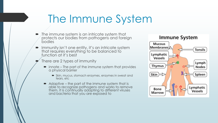## The Immune System

- The immune system is an intricate system that protects our bodies from pathogens and foreign bodies
- Immunity isn't one entity, it's an intricate system that requires everything to be balanced to function at it's best
- There are 2 types of immunity
	- $\blacksquare$  innate The part of the immune system that provides a physical barrier
		- Skin, mucus, stomach enzymes, enzymes in sweat and tears, etc
	- Adaptive the part of the immune system that is able to recognize pathogens and works to remove them. It is continually adapting to different viruses and bacteria that you are exposed to

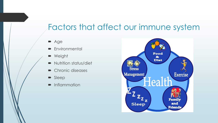### Factors that affect our immune system

- **Age**
- **Environmental**
- **Neight**
- Nutrition status/diet
- Chronic diseases
- Sleep
- Inflammation

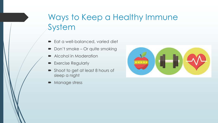### Ways to Keep a Healthy Immune System

- **Eat a well-balanced, varied diet**
- Don't smoke Or quite smoking
- Alcohol in Moderation
- **Exercise Regularly**
- Shoot to get at least 8 hours of sleep a night
- Manage stress

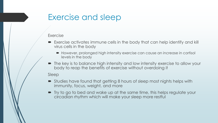#### Exercise and sleep

#### Exercise

- Exercise activates immune cells in the body that can help identify and kill virus cells in the body
	- However, prolonged high intensity exercise can cause an increase in cortisol levels in the body
- The key is to balance high intensity and low intensity exercise to allow your body to reap the benefits of exercise without overdoing it

Sleep

- Studies have found that getting 8 hours of sleep most nights helps with immunity, focus, weight, and more
- Try to go to bed and wake up at the same time, this helps regulate your circadian rhythm which will make your sleep more restful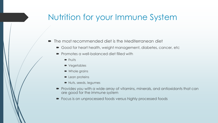### Nutrition for your Immune System

- $\blacksquare$  The most recommended diet is the Mediterranean diet
	- Good for heart health, weight management, diabetes, cancer, etc
	- **Promotes a well-balanced diet filled with** 
		- $\blacksquare$  Fruits
		- Vegetables
		- Whole grains
		- **D** Lean proteins
		- Nuts, seeds, legumes
	- Provides you with a wide array of vitamins, minerals, and antioxidants that can are good for the immune system
	- Focus is on unprocessed foods versus highly processed foods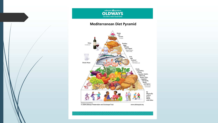

#### **Mediterranean Diet Pyramid**

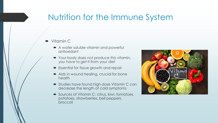### Nutrition for the Immune System

- Vitamin C
	- A water soluble vitamin and powerful antioxidant
	- Your body does not produce this vitamin, you have to get it from your diet
	- **Essential for tissue growth and repair**
	- Aids in wound healing, crucial for bone health
	- Studies have found high dose Vitamin C can decrease the length of cold symptoms
	- Sources of Vitamin C: citrus, kiwi, tomatoes, potatoes, strawberries, bell peppers, broccoli

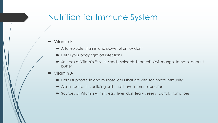#### Nutrition for Immune System

- Vitamin E
	- A fat-soluble vitamin and powerful antioxidant
	- Helps your body fight off infections
	- Sources of Vitamin E: Nuts, seeds, spinach, broccoli, kiwi, mango, tomato, peanut butter
- Vitamin A
	- Helps support skin and mucosal cells that are vital for innate immunity
	- Also important in building cells that have immune function
	- Sources of Vitamin A: milk, egg, liver, dark leafy greens, carrots, tomatoes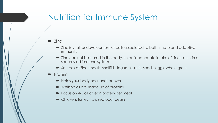### Nutrition for Immune System

#### $\blacksquare$  Zinc

- Zinc is vital for development of cells associated to both innate and adaptive immunity
- Zinc can not be stored in the body, so an inadequate intake of zinc results in a suppressed immune system
- Sources of Zinc: meats, shellfish, legumes, nuts, seeds, eggs, whole grain

#### $\blacksquare$  Protein

- Helps your body heal and recover
- Antibodies are made up of proteins
- Focus on 4-5 oz of lean protein per meal
- Chicken, turkey, fish, seafood, beans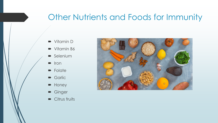#### Other Nutrients and Foods for Immunity

- Vitamin D
- Vitamin B6
- **Selenium**
- $\blacksquare$  Iron
- Folate
- Garlic
- Honey
- Ginger
- Citrus fruits

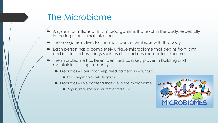### The Microbiome

- A system of millions of tiny microorganisms that exist in the body, especially in the large and small intestines
- These organisms live, for the most part, in symbiosis with the body
- Each person has a completely unique microbiome that begins from birth and is affected by things such as diet and environmental exposures
- The microbiome has been identified as a key player in building and maintaining strong immunity
	- $\blacksquare$  Prebiotics Fibers that help feed bacteria in your gut
		- **Figure Fruits, vegetables, whole grains**
	- $\blacksquare$  Probiotics Live bacteria that live in the microbiome
		- Yogurt, kefir, kombucha, fermented foods

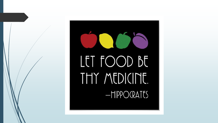